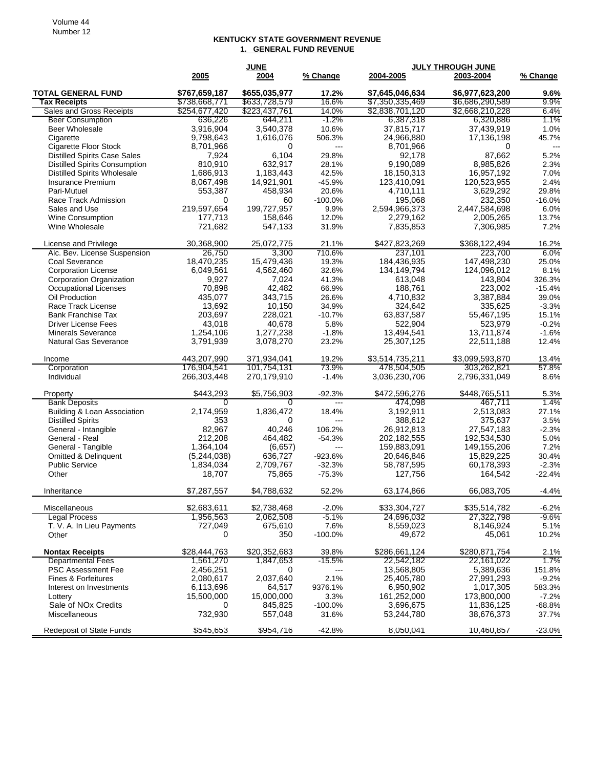## **KENTUCKY STATE GOVERNMENT REVENUE 1. GENERAL FUND REVENUE**

|                                      | <b>JUNE</b>   |               |                   | <b>JULY THROUGH JUNE</b> |                 |                          |
|--------------------------------------|---------------|---------------|-------------------|--------------------------|-----------------|--------------------------|
|                                      | 2005          | 2004          | % Change          | 2004-2005                | 2003-2004       | % Change                 |
| <b>TOTAL GENERAL FUND</b>            | \$767,659,187 | \$655,035,977 | 17.2%             | \$7,645,046,634          | \$6,977,623,200 | 9.6%                     |
| <b>Tax Receipts</b>                  | \$738,668,771 | \$633,728,579 | 16.6%             | \$7,350,335,469          | \$6,686,290,589 | 9.9%                     |
| Sales and Gross Receipts             | \$254,677,420 | \$223,437,761 | 14.0%             | \$2,838,701,120          | \$2,668,210,228 | 6.4%                     |
| <b>Beer Consumption</b>              | 636,226       | 644,211       | $-1.2%$           | 6,387,318                | 6,320,886       | 1.1%                     |
| <b>Beer Wholesale</b>                | 3,916,904     | 3,540,378     | 10.6%             | 37,815,717               | 37,439,919      | 1.0%                     |
| Cigarette                            | 9,798,643     | 1,616,076     | 506.3%            | 24,966,880               | 17,136,198      | 45.7%                    |
| Cigarette Floor Stock                | 8,701,966     | 0             | $\overline{a}$    | 8,701,966                | 0               | $\overline{\phantom{a}}$ |
| <b>Distilled Spirits Case Sales</b>  | 7,924         | 6,104         | 29.8%             | 92,178                   | 87,662          | 5.2%                     |
| <b>Distilled Spirits Consumption</b> | 810,910       | 632,917       | 28.1%             | 9,190,089                | 8,985,826       | 2.3%                     |
| <b>Distilled Spirits Wholesale</b>   | 1,686,913     | 1,183,443     | 42.5%             | 18,150,313               | 16,957,192      | 7.0%                     |
| Insurance Premium                    | 8,067,498     | 14,921,901    | $-45.9%$          | 123,410,091              | 120,523,955     | 2.4%                     |
| Pari-Mutuel                          | 553,387       | 458,934       | 20.6%             | 4,710,111                | 3,629,292       | 29.8%                    |
| Race Track Admission                 | 0             | 60            | $-100.0\%$        | 195,068                  | 232.350         | $-16.0%$                 |
| Sales and Use                        | 219,597,654   | 199,727,957   | 9.9%              | 2,594,966,373            | 2,447,584,698   | 6.0%                     |
| <b>Wine Consumption</b>              | 177,713       | 158,646       | 12.0%             | 2,279,162                | 2,005,265       | 13.7%                    |
| Wine Wholesale                       | 721,682       | 547,133       | 31.9%             | 7,835,853                | 7,306,985       | 7.2%                     |
| License and Privilege                | 30,368,900    | 25,072,775    | 21.1%             | \$427,823,269            | \$368,122,494   | 16.2%                    |
| Alc. Bev. License Suspension         | 26,750        | 3,300         | 710.6%            | 237,101                  | 223,700         | 6.0%                     |
| Coal Severance                       | 18,470,235    | 15,479,436    | 19.3%             | 184,436,935              | 147,498,230     | 25.0%                    |
| <b>Corporation License</b>           | 6,049,561     | 4,562,460     | 32.6%             | 134,149,794              | 124,096,012     | 8.1%                     |
| <b>Corporation Organization</b>      | 9,927         | 7,024         | 41.3%             | 613,048                  | 143,804         | 326.3%                   |
| <b>Occupational Licenses</b>         | 70,898        | 42,482        | 66.9%             | 188,761                  | 223,002         | $-15.4%$                 |
| Oil Production                       | 435.077       | 343,715       | 26.6%             | 4,710,832                | 3,387,884       | 39.0%                    |
| Race Track License                   | 13,692        | 10,150        | 34.9%             | 324,642                  | 335,625         | $-3.3%$                  |
| <b>Bank Franchise Tax</b>            | 203,697       | 228,021       | $-10.7%$          | 63,837,587               | 55,467,195      | 15.1%                    |
| <b>Driver License Fees</b>           | 43,018        | 40,678        | 5.8%              | 522,904                  | 523,979         | $-0.2%$                  |
| <b>Minerals Severance</b>            | 1.254.106     | 1,277,238     | $-1.8%$           | 13,494,541               | 13,711,874      | $-1.6%$                  |
| <b>Natural Gas Severance</b>         | 3,791,939     | 3,078,270     | 23.2%             | 25,307,125               | 22,511,188      | 12.4%                    |
| Income                               | 443,207,990   | 371,934,041   | 19.2%             | \$3,514,735,211          | \$3,099,593,870 | 13.4%                    |
| Corporation                          | 176,904,541   | 101,754,131   | 73.9%             | 478,504,505              | 303,262,821     | 57.8%                    |
| Individual                           | 266,303,448   | 270,179,910   | $-1.4%$           | 3,036,230,706            | 2,796,331,049   | 8.6%                     |
| Property                             | \$443,293     | \$5,756,903   | $-92.3%$          | \$472,596,276            | \$448,765,511   | 5.3%                     |
| <b>Bank Deposits</b>                 | $\Omega$      | 0             | $\overline{a}$    | 474,098                  | 467,711         | 1.4%                     |
| Building & Loan Association          | 2,174,959     | 1,836,472     | 18.4%             | 3,192,911                | 2,513,083       | 27.1%                    |
| <b>Distilled Spirits</b>             | 353           | 0             | ---               | 388,612                  | 375,637         | 3.5%                     |
| General - Intangible                 | 82,967        | 40,246        | 106.2%            | 26,912,813               | 27,547,183      | $-2.3%$                  |
| General - Real                       | 212.208       | 464.482       | $-54.3%$          | 202,182,555              | 192,534,530     | 5.0%                     |
| General - Tangible                   | 1,364,104     | (6,657)       | $\qquad \qquad -$ | 159,883,091              | 149,155,206     | 7.2%                     |
| <b>Omitted &amp; Delinquent</b>      | (5,244,038)   | 636,727       | -923.6%           | 20,646,846               | 15,829,225      | 30.4%                    |
| <b>Public Service</b>                | 1,834,034     | 2,709,767     | $-32.3%$          | 58,787,595               | 60,178,393      | $-2.3%$                  |
| Other                                | 18,707        | 75,865        | $-75.3%$          | 127,756                  | 164,542         | $-22.4%$                 |
| Inheritance                          | \$7,287,557   | \$4,788,632   | 52.2%             | 63,174,866               | 66,083,705      | $-4.4%$                  |
| Miscellaneous                        | \$2,683,611   | \$2,738,468   | $-2.0%$           | \$33,304,727             | \$35,514,782    | $-6.2%$                  |
| Legal Process                        | 1,956,563     | 2,062,508     | $-5.1%$           | 24,696,032               | 27,322,798      | -9.6%                    |
| T. V. A. In Lieu Payments            | 727,049       | 675,610       | 7.6%              | 8,559,023                | 8,146,924       | 5.1%                     |
| Other                                | 0             | 350           | $-100.0%$         | 49,672                   | 45,061          | 10.2%                    |
| <b>Nontax Receipts</b>               | \$28,444,763  | \$20,352,683  | 39.8%             | \$286,661,124            | \$280,871,754   | 2.1%                     |
| <b>Departmental Fees</b>             | 1,561,270     | 1,847,653     | $-15.5%$          | 22,542,182               | 22, 161, 022    | 1.7%                     |
| PSC Assessment Fee                   | 2,456,251     | 0             | ---               | 13,568,805               | 5,389,636       | 151.8%                   |
| Fines & Forfeitures                  | 2,080,617     | 2,037,640     | 2.1%              | 25,405,780               | 27,991,293      | $-9.2%$                  |
| Interest on Investments              | 6,113,696     | 64,517        | 9376.1%           | 6,950,902                | 1,017,305       | 583.3%                   |
| Lottery                              | 15,500,000    | 15,000,000    | 3.3%              | 161,252,000              | 173,800,000     | $-7.2%$                  |
| Sale of NO <sub>x</sub> Credits      | 0             | 845,825       | $-100.0%$         | 3,696,675                | 11,836,125      | $-68.8%$                 |
| Miscellaneous                        | 732,930       | 557,048       | 31.6%             | 53,244,780               | 38,676,373      | 37.7%                    |
| <b>Redeposit of State Funds</b>      |               | \$954,716     | -42.8%            | 8,050,041                | 10,460,857      | $-23.0%$                 |
|                                      | \$545,653     |               |                   |                          |                 |                          |